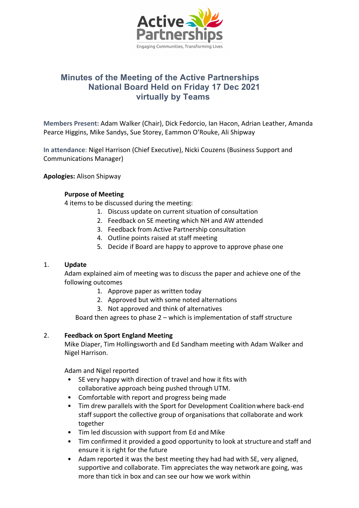

# **Minutes of the Meeting of the Active Partnerships National Board Held on Friday 17 Dec 2021 virtually by Teams**

**Members Present:** Adam Walker (Chair), Dick Fedorcio, Ian Hacon, Adrian Leather, Amanda Pearce Higgins, Mike Sandys, Sue Storey, Eammon O'Rouke, Ali Shipway

**In attendance**: Nigel Harrison (Chief Executive), Nicki Couzens (Business Support and Communications Manager)

**Apologies:** Alison Shipway

## **Purpose of Meeting**

4 items to be discussed during the meeting:

- 1. Discuss update on current situation of consultation
- 2. Feedback on SE meeting which NH and AW attended
- 3. Feedback from Active Partnership consultation
- 4. Outline points raised at staff meeting
- 5. Decide if Board are happy to approve to approve phase one

## 1. **Update**

Adam explained aim of meeting was to discuss the paper and achieve one of the following outcomes

- 1. Approve paper as written today
- 2. Approved but with some noted alternations
- 3. Not approved and think of alternatives

Board then agrees to phase 2 – which is implementation of staff structure

## 2. **Feedback on Sport England Meeting**

Mike Diaper, Tim Hollingsworth and Ed Sandham meeting with Adam Walker and Nigel Harrison.

Adam and Nigel reported

- SE very happy with direction of travel and how it fits with collaborative approach being pushed through UTM.
- Comfortable with report and progress being made
- Tim drew parallels with the Sport for Development Coalitionwhere back-end staff support the collective group of organisations that collaborate and work together
- Tim led discussion with support from Ed and Mike
- Tim confirmed it provided a good opportunity to look at structure and staff and ensure it is right for the future
- Adam reported it was the best meeting they had had with SE, very aligned, supportive and collaborate. Tim appreciates the way network are going, was more than tick in box and can see our how we work within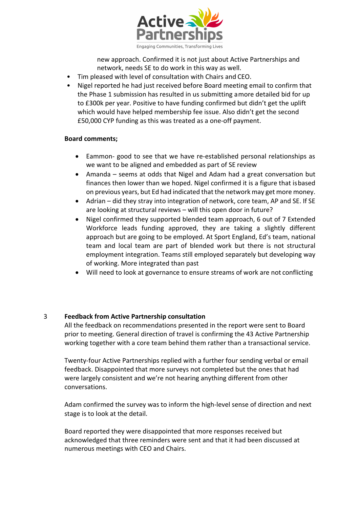

new approach. Confirmed it is not just about Active Partnerships and network, needs SE to do work in this way as well.

- Tim pleased with level of consultation with Chairs and CEO.
- Nigel reported he had just received before Board meeting email to confirm that the Phase 1 submission has resulted in us submitting amore detailed bid for up to £300k per year. Positive to have funding confirmed but didn't get the uplift which would have helped membership fee issue. Also didn't get the second £50,000 CYP funding as this was treated as a one-off payment.

## **Board comments;**

- Eammon- good to see that we have re-established personal relationships as we want to be aligned and embedded as part of SE review
- Amanda seems at odds that Nigel and Adam had a great conversation but finances then lower than we hoped. Nigel confirmed it is a figure that isbased on previous years, but Ed had indicated that the network may get more money.
- Adrian did they stray into integration of network, core team, AP and SE. If SE are looking at structural reviews – will this open door in future?
- Nigel confirmed they supported blended team approach, 6 out of 7 Extended Workforce leads funding approved, they are taking a slightly different approach but are going to be employed. At Sport England, Ed's team, national team and local team are part of blended work but there is not structural employment integration. Teams still employed separately but developing way of working. More integrated than past
- Will need to look at governance to ensure streams of work are not conflicting

## 3 **Feedback from Active Partnership consultation**

All the feedback on recommendations presented in the report were sent to Board prior to meeting. General direction of travel is confirming the 43 Active Partnership working together with a core team behind them rather than a transactional service.

Twenty-four Active Partnerships replied with a further four sending verbal or email feedback. Disappointed that more surveys not completed but the ones that had were largely consistent and we're not hearing anything different from other conversations.

Adam confirmed the survey was to inform the high-level sense of direction and next stage is to look at the detail.

Board reported they were disappointed that more responses received but acknowledged that three reminders were sent and that it had been discussed at numerous meetings with CEO and Chairs.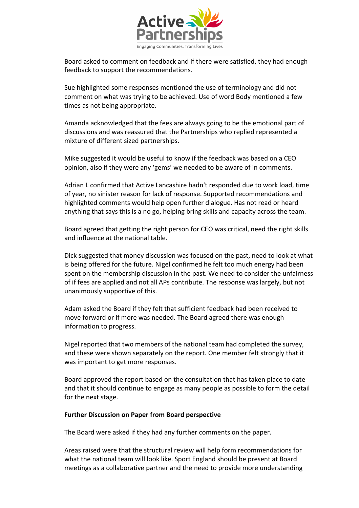

Board asked to comment on feedback and if there were satisfied, they had enough feedback to support the recommendations.

Sue highlighted some responses mentioned the use of terminology and did not comment on what was trying to be achieved. Use of word Body mentioned a few times as not being appropriate.

Amanda acknowledged that the fees are always going to be the emotional part of discussions and was reassured that the Partnerships who replied represented a mixture of different sized partnerships.

Mike suggested it would be useful to know if the feedback was based on a CEO opinion, also if they were any 'gems' we needed to be aware of in comments.

Adrian L confirmed that Active Lancashire hadn't responded due to work load, time of year, no sinister reason for lack of response. Supported recommendations and highlighted comments would help open further dialogue. Has not read or heard anything that says this is a no go, helping bring skills and capacity across the team.

Board agreed that getting the right person for CEO was critical, need the right skills and influence at the national table.

Dick suggested that money discussion was focused on the past, need to look at what is being offered for the future. Nigel confirmed he felt too much energy had been spent on the membership discussion in the past. We need to consider the unfairness of if fees are applied and not all APs contribute. The response was largely, but not unanimously supportive of this.

Adam asked the Board if they felt that sufficient feedback had been received to move forward or if more was needed. The Board agreed there was enough information to progress.

Nigel reported that two members of the national team had completed the survey, and these were shown separately on the report. One member felt strongly that it was important to get more responses.

Board approved the report based on the consultation that has taken place to date and that it should continue to engage as many people as possible to form the detail for the next stage.

## **Further Discussion on Paper from Board perspective**

The Board were asked if they had any further comments on the paper.

Areas raised were that the structural review will help form recommendations for what the national team will look like. Sport England should be present at Board meetings as a collaborative partner and the need to provide more understanding